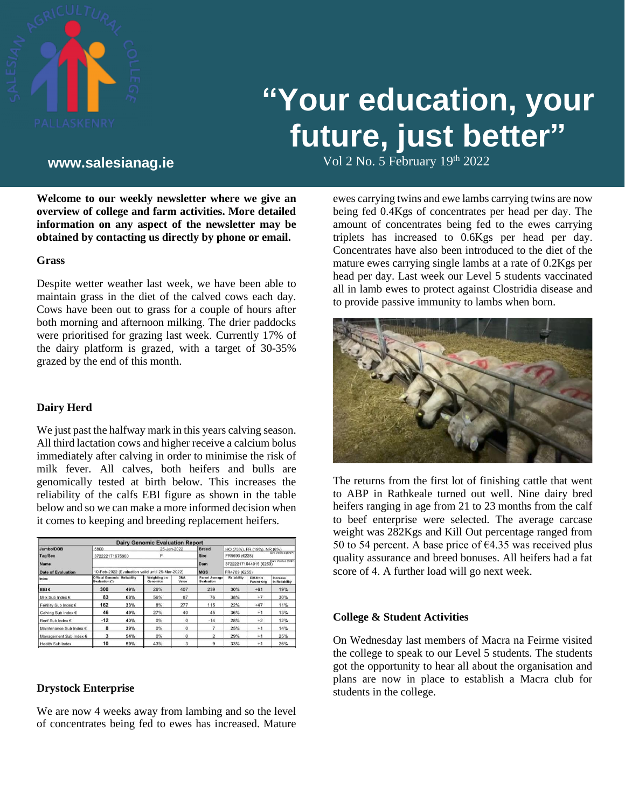

# **"Your education, your future, just better"**

Vol 2 No. 5 February 19 th **www.salesianag.ie** 2022

**Welcome to our weekly newsletter where we give an overview of college and farm activities. More detailed information on any aspect of the newsletter may be obtained by contacting us directly by phone or email.**

#### **Grass**

Despite wetter weather last week, we have been able to maintain grass in the diet of the calved cows each day. Cows have been out to grass for a couple of hours after both morning and afternoon milking. The drier paddocks were prioritised for grazing last week. Currently 17% of the dairy platform is grazed, with a target of 30-35% grazed by the end of this month.

## **Dairy Herd**

We just past the halfway mark in this years calving season. All third lactation cows and higher receive a calcium bolus immediately after calving in order to minimise the risk of milk fever. All calves, both heifers and bulls are genomically tested at birth below. This increases the reliability of the calfs EBI figure as shown in the table below and so we can make a more informed decision when it comes to keeping and breeding replacement heifers.

|                           |                                                       |            | <b>Dairy Genomic Evaluation Report</b> |              |                                     |                                              |                                |                            |  |
|---------------------------|-------------------------------------------------------|------------|----------------------------------------|--------------|-------------------------------------|----------------------------------------------|--------------------------------|----------------------------|--|
| Jumbo/DOB                 | 5800                                                  |            | 25-Jan-2022                            |              | <b>Breed</b>                        | HO (75%), FR (19%), NR (6%)                  |                                |                            |  |
| <b>Tag/Sex</b>            | 372222171675800                                       |            |                                        |              | <b>Sire</b>                         | FR5593 (€228)                                | Sire Verified (SNP)            |                            |  |
| Name                      |                                                       |            |                                        |              | Dam                                 | Dam Verified (SNP)<br>372222171644915 (€250) |                                |                            |  |
| <b>Date of Evaluation</b> | 10-Feb-2022 (Evaluation valid until 25-Mar-2022)      |            |                                        |              | <b>MGS</b>                          | FR4709 (€255)                                |                                |                            |  |
| Index                     | <b>Official Genomic Reliability</b><br>Evaluation (*) |            | <b>Weighting on</b><br>Genomics        | DNA<br>Value | <b>Parent Average</b><br>Evaluation | Reliability                                  | Diff.from<br><b>Parent Avg</b> | Increase<br>In Reliability |  |
| EBI€                      | 300                                                   | 49%        | 26%                                    | 407          | 239                                 | 30%                                          | $+61$                          | 19%                        |  |
| Milk Sub Index €          | 83                                                    | <b>68%</b> | 56%                                    | 87           | 76                                  | 38%                                          | $+7$                           | 30%                        |  |
| Fertility Sub Index €     | 162                                                   | 33%        | 8%                                     | 277          | 115                                 | 22%                                          | $+47$                          | 11%                        |  |
| Calving Sub Index €       | 46                                                    | 49%        | 27%                                    | 40           | 45                                  | 36%                                          | $+1$                           | 13%                        |  |
| Beef Sub Index €          | $-12$                                                 | 40%        | 0%                                     | $\Omega$     | $-14$                               | 28%                                          | $+2$                           | 12%                        |  |
| Maintenance Sub Index €   | 8                                                     | 39%        | 0%                                     | O            |                                     | 25%                                          | $+1$                           | 14%                        |  |
| Management Sub Index €    | 3                                                     | 54%        | 0%                                     | 0            | $\overline{2}$                      | 29%                                          | $+1$                           | 25%                        |  |
| <b>Haalth Sub Inday</b>   | 10                                                    | 50%        | 130/                                   |              | $\Omega$                            | 330/                                         | $+ 1$                          | 2680                       |  |

#### **Drystock Enterprise**

We are now 4 weeks away from lambing and so the level of concentrates being fed to ewes has increased. Mature

ewes carrying twins and ewe lambs carrying twins are now being fed 0.4Kgs of concentrates per head per day. The amount of concentrates being fed to the ewes carrying triplets has increased to 0.6Kgs per head per day. Concentrates have also been introduced to the diet of the mature ewes carrying single lambs at a rate of 0.2Kgs per head per day. Last week our Level 5 students vaccinated all in lamb ewes to protect against Clostridia disease and to provide passive immunity to lambs when born.



The returns from the first lot of finishing cattle that went to ABP in Rathkeale turned out well. Nine dairy bred heifers ranging in age from 21 to 23 months from the calf to beef enterprise were selected. The average carcase weight was 282Kgs and Kill Out percentage ranged from 50 to 54 percent. A base price of  $\epsilon$ 4.35 was received plus quality assurance and breed bonuses. All heifers had a fat score of 4. A further load will go next week.

## **College & Student Activities**

On Wednesday last members of Macra na Feirme visited the college to speak to our Level 5 students. The students got the opportunity to hear all about the organisation and plans are now in place to establish a Macra club for students in the college.